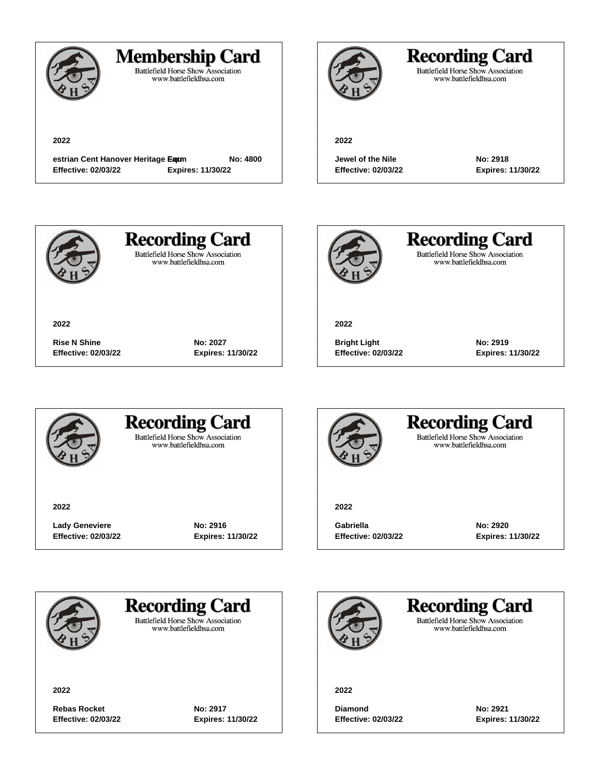

## **Membership Card**

Battlefield Horse Show Association<br>www.battlefieldhsa.com

**2022**

**estrian Cent Hanover Heritage Equm** No: 4800 **Effective: 02/03/22 Expires: 11/30/22**

**Rise N Shine No: 2027**

**Effective: 02/03/22 Expires: 11/30/22**



# **Recording Card**

Battlefield Horse Show Association<br>www.battlefieldhsa.com

#### **2022**

**Jewel of the Nile No: 2918 Effective: 02/03/22 Expires: 11/30/22**



**2022**

**Recording Card Battlefield Horse Show Association** 

www.battlefieldhsa.com



**Recording Card** Battlefield Horse Show Association<br>www.battlefieldhsa.com

**2022**

**Bright Light No: 2919 Effective: 02/03/22 Expires: 11/30/22**



### **Recording Card Battlefield Horse Show Association**

www.battlefieldhsa.com

**2022**

Lady Geneviere **No: 2916 Effective: 02/03/22 Expires: 11/30/22**



### **Recording Card Battlefield Horse Show Association** www.battlefieldhsa.com

**2022**

**Gabriella No: 2920 Effective: 02/03/22 Expires: 11/30/22**



**Recording Card** 

**Battlefield Horse Show Association** www.battlefieldhsa.com

**2022**

Rebas Rocket **No: 2917 Effective: 02/03/22 Expires: 11/30/22**

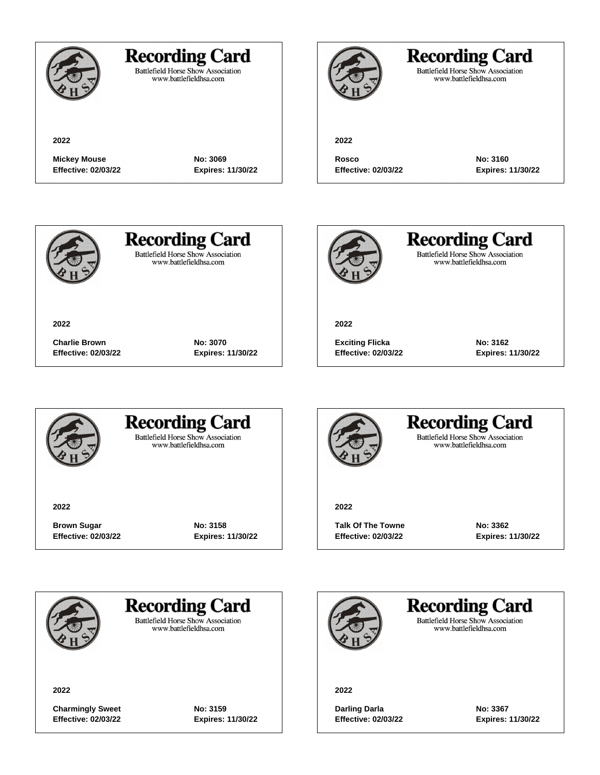

# **Recording Card**

Battlefield Horse Show Association<br>www.battlefieldhsa.com

**2022**

# **Recording Card**

Battlefield Horse Show Association<br>www.battlefieldhsa.com

**2022**

**Mickey Mouse No: 3069 Effective: 02/03/22 Expires: 11/30/22**

**Rosco No: 3160 Effective: 02/03/22 Expires: 11/30/22**



**2022**

**Recording Card Battlefield Horse Show Association** 

www.battlefieldhsa.com



**Recording Card** Battlefield Horse Show Association<br>www.battlefieldhsa.com

**2022**

**Exciting Flicka No: 3162 Effective: 02/03/22 Expires: 11/30/22**



## **Recording Card Battlefield Horse Show Association**

**Charlie Brown No: 3070**

**Effective: 02/03/22 Expires: 11/30/22**

www.battlefieldhsa.com

**2022**

**Brown Sugar No: 3158 Effective: 02/03/22 Expires: 11/30/22**



## **Recording Card Battlefield Horse Show Association**

www.battlefieldhsa.com

**2022**

Talk Of The Towne **No: 3362 Effective: 02/03/22 Expires: 11/30/22**



**Recording Card** 

**Battlefield Horse Show Association** www.battlefieldhsa.com

**2022**

**Charmingly Sweet No: 3159 Effective: 02/03/22 Expires: 11/30/22**

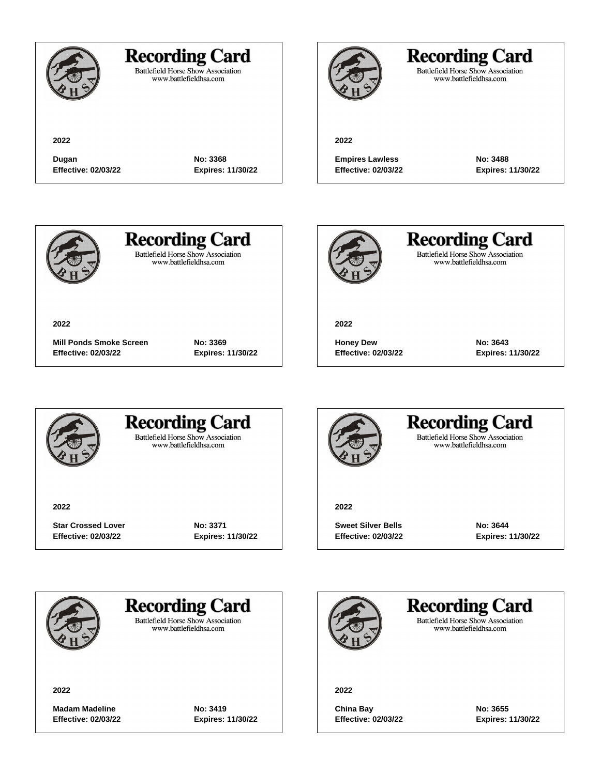**2022**

## **Recording Card**

Battlefield Horse Show Association<br>www.battlefieldhsa.com

**Dugan No: 3368 Effective: 02/03/22 Expires: 11/30/22**

# **Recording Card**

Battlefield Horse Show Association<br>www.battlefieldhsa.com

#### **2022**

**Empires Lawless No: 3488 Effective: 02/03/22 Expires: 11/30/22**



# **Recording Card**

Battlefield Horse Show Association<br>www.battlefieldhsa.com



**Recording Card** Battlefield Horse Show Association<br>www.battlefieldhsa.com

**2022**

**Honey Dew No: 3643 Effective: 02/03/22 Expires: 11/30/22**



**Mill Ponds Smoke Screen No: 3369 Effective: 02/03/22 Expires: 11/30/22**



### **Recording Card Battlefield Horse Show Association**

www.battlefieldhsa.com

**2022**

**Star Crossed Lover No: 3371 Effective: 02/03/22 Expires: 11/30/22**



## **Recording Card Battlefield Horse Show Association**

www.battlefieldhsa.com

**2022**

**Sweet Silver Bells No: 3644 Effective: 02/03/22 Expires: 11/30/22**





**Battlefield Horse Show Association** www.battlefieldhsa.com

**2022**

**Madam Madeline No: 3419 Effective: 02/03/22 Expires: 11/30/22**

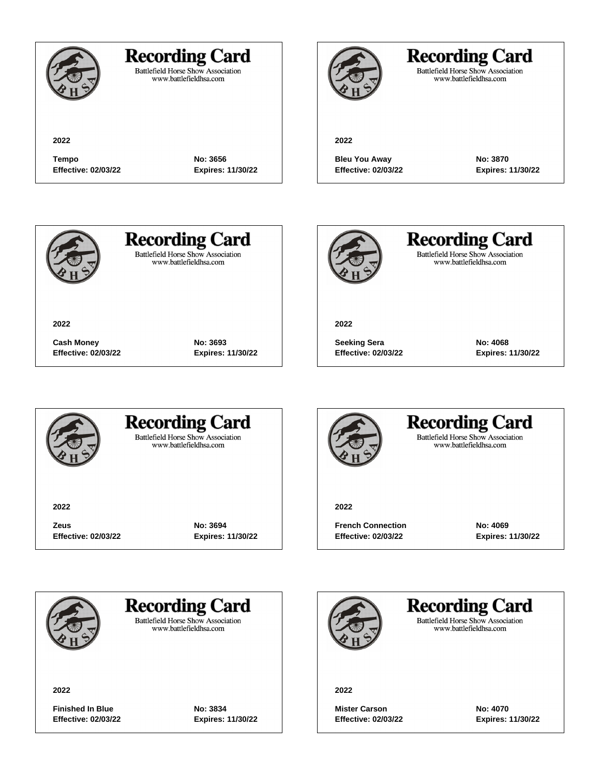**2022**

## **Recording Card**

**Tempo No: 3656 Effective: 02/03/22 Expires: 11/30/22**

Battlefield Horse Show Association<br>www.battlefieldhsa.com

# **Recording Card**

Battlefield Horse Show Association<br>www.battlefieldhsa.com

#### **2022**

**Bleu You Away No: 3870 Effective: 02/03/22 Expires: 11/30/22**



# **Recording Card**

**Battlefield Horse Show Association** www.battlefieldhsa.com



**Recording Card** Battlefield Horse Show Association<br>www.battlefieldhsa.com

**2022**

**Seeking Sera No: 4068 Effective: 02/03/22 Expires: 11/30/22**



**Cash Money No: 3693 Effective: 02/03/22 Expires: 11/30/22**



### **Recording Card Battlefield Horse Show Association**

www.battlefieldhsa.com

**2022**

**Zeus No: 3694 Effective: 02/03/22 Expires: 11/30/22**



#### **Recording Card Battlefield Horse Show Association** www.battlefieldhsa.com

**2022**

**French Connection No: 4069 Effective: 02/03/22 Expires: 11/30/22**



**Recording Card** 

**Battlefield Horse Show Association** www.battlefieldhsa.com

**2022**

**Finished In Blue No: 3834 Effective: 02/03/22 Expires: 11/30/22**